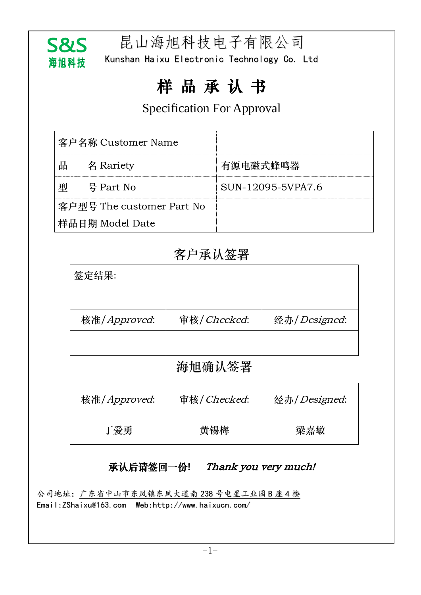

昆山海旭科技电子有限公司

Kunshan Haixu Electronic Technology Co. Ltd

# 样 品 承 认 书

## Specification For Approval

| 客户名称 Customer Name        |           |                   |
|---------------------------|-----------|-------------------|
| 빰                         | 名 Rariety | 有源电磁式蜂鸣器          |
|                           | 号 Part No | SUN-12095-5VPA7.6 |
| 客户型号 The customer Part No |           |                   |
| 样品日期 Model Date           |           |                   |

# 客户承认签署

| 签定结果:        |             |              |
|--------------|-------------|--------------|
| 核准/Approved: | 审核/Checked: | 经办/Designed: |
|              |             |              |
|              |             |              |

## 海旭确认签署

| 核准/Approved: | 审核/Checked: | 经办/Designed: |
|--------------|-------------|--------------|
| 丁爱勇          | 黄锡梅         | 梁嘉敏          |

## 承认后请签回一份! Thank you very much!

公司地址:广东省中山市东凤镇东凤大道南 238 号电星工业园 B 座 4 楼 Email[:ZShaixu@163.com](http://www.haixucn.com/About1.Asp?id=12) Web:http://www.haixucn.com/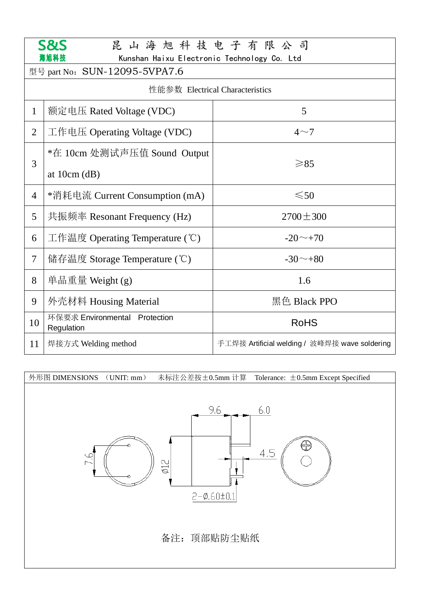| <b>S&amp;S</b><br>昆山海旭科技电子有限公司  |                                                     |                                               |  |  |
|---------------------------------|-----------------------------------------------------|-----------------------------------------------|--|--|
|                                 | 尋旭科技<br>Kunshan Haixu Electronic Technology Co. Ltd |                                               |  |  |
|                                 | 型号 part No: SUN-12095-5VPA7.6                       |                                               |  |  |
| 性能参数 Electrical Characteristics |                                                     |                                               |  |  |
| $\mathbf{1}$                    | 额定电压 Rated Voltage (VDC)                            | 5                                             |  |  |
| $\overline{2}$                  | 工作电压 Operating Voltage (VDC)                        | $4\sim$ 7                                     |  |  |
|                                 | *在 10cm 处测试声压值 Sound Output                         | $\geq 85$                                     |  |  |
| 3                               | at $10cm$ (dB)                                      |                                               |  |  |
| $\overline{4}$                  | *消耗电流 Current Consumption (mA)                      | $\leq 50$                                     |  |  |
| 5                               | 共振频率 Resonant Frequency (Hz)                        | $2700 \pm 300$                                |  |  |
| 6                               | 工作温度 Operating Temperature (°C)                     | $-20 \sim +70$                                |  |  |
| $\tau$                          | 储存温度 Storage Temperature $(\mathcal{C})$            | $-30^\sim +80$                                |  |  |
| 8                               | 单品重量 Weight $(g)$                                   | 1.6                                           |  |  |
| 9                               | 外壳材料 Housing Material                               | 黑色 Black PPO                                  |  |  |
| 10                              | 环保要求 Environmental Protection<br>Regulation         | <b>RoHS</b>                                   |  |  |
| 11                              | 焊接方式 Welding method                                 | 手工焊接 Artificial welding / 波峰焊接 wave soldering |  |  |

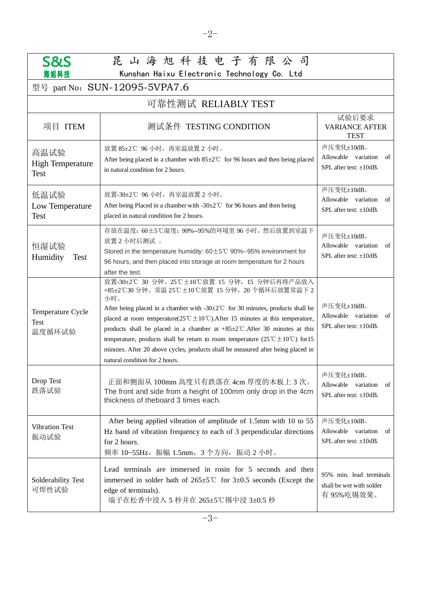| 昆山海旭科技电子有限公司<br><b>S&amp;S</b><br>Kunshan Haixu Electronic Technology Co. Ltd<br>海旭科技 |                                                                                                                                                                                                                                                                                                                                                                                                                                                                                                                                                                                                                                             |                                                                         |  |  |
|---------------------------------------------------------------------------------------|---------------------------------------------------------------------------------------------------------------------------------------------------------------------------------------------------------------------------------------------------------------------------------------------------------------------------------------------------------------------------------------------------------------------------------------------------------------------------------------------------------------------------------------------------------------------------------------------------------------------------------------------|-------------------------------------------------------------------------|--|--|
| 型号 part No: SUN-12095-5VPA7.6                                                         |                                                                                                                                                                                                                                                                                                                                                                                                                                                                                                                                                                                                                                             |                                                                         |  |  |
| 可靠性测试 RELIABLY TEST                                                                   |                                                                                                                                                                                                                                                                                                                                                                                                                                                                                                                                                                                                                                             |                                                                         |  |  |
| 项目 ITEM                                                                               | 测试条件 TESTING CONDITION                                                                                                                                                                                                                                                                                                                                                                                                                                                                                                                                                                                                                      | 试验后要求<br><b>VARIANCE AFTER</b><br><b>TEST</b>                           |  |  |
| 高温试验<br><b>High Temperature</b><br><b>Test</b>                                        | 放置 85±2℃ 96 小时, 再室温放置 2 小时。<br>After being placed in a chamber with $85 \pm 2^{\circ}$ for 96 hours and then being placed<br>in natural condition for 2 hours.                                                                                                                                                                                                                                                                                                                                                                                                                                                                              | 声压变化±10dB。<br>Allowable variation<br>of<br>SPL after test: $\pm 10$ dB. |  |  |
| 低温试验<br>Low Temperature<br><b>Test</b>                                                | 放置-30±2℃ 96 小时, 再室温放置 2 小时。<br>After being Placed in a chamber with -30 $\pm$ 2°C for 96 hours and then being<br>placed in natural condition for 2 hours.                                                                                                                                                                                                                                                                                                                                                                                                                                                                                   | 声压变化±10dB。<br>Allowable variation<br>of<br>SPL after test: $\pm 10$ dB. |  |  |
| 恒湿试验<br>Humidity<br><b>Test</b>                                                       | 存放在温度: 60±5℃湿度: 90%--95%的环境里 96 小时, 然后放置到室温下<br>放置2小时后测试。<br>Stored in the temperature humidity: $60 \pm 5^{\circ}$ C 90%--95% environment for<br>96 hours, and then placed into storage at room temperature for 2 hours<br>after the test.                                                                                                                                                                                                                                                                                                                                                                                                 | 声压变化±10dB。<br>Allowable variation<br>of<br>SPL after test: $\pm 10$ dB. |  |  |
| Temperature Cycle<br>Test<br>温度循环试验                                                   | 放置-30±2℃ 30 分钟、25℃±10℃放置 15 分钟, 15 分钟后再将产品放入<br>+85±2℃30分钟、常温25℃±10℃放置 15分钟, 20个循环后放置常温下2<br>小时。<br>After being placed in a chamber with $-30\pm2^{\circ}$ for 30 minutes, products shall be<br>placed at room temperature( $25^{\circ}\text{C} \pm 10^{\circ}\text{C}$ ). After 15 minutes at this temperature,<br>products shall be placed in a chamber at $+85\pm2$ °C. After 30 minutes at this<br>temperature, products shall be return to room temperature $(25^{\circ}\text{C} \pm 10^{\circ}\text{C})$ for 15<br>minutes. After 20 above cycles, products shall be measured after being placed in<br>natural condition for 2 hours. | 声压变化±10dB。<br>Allowable variation<br>of<br>SPL after test: $\pm 10$ dB. |  |  |
| Drop Test<br>跌落试验                                                                     | 正面和侧面从 100mm 高度只有跌落在 4cm 厚度的木板上 3 次。<br>The front and side from a height of 100mm only drop in the 4cm<br>thickness of theboard 3 times each.                                                                                                                                                                                                                                                                                                                                                                                                                                                                                               | 声压变化±10dB。<br>Allowable variation<br>of<br>SPL after test: ±10dB.       |  |  |
| <b>Vibration Test</b><br>振动试验                                                         | After being applied vibration of amplitude of 1.5mm with 10 to 55<br>Hz band of vibration frequency to each of 3 perpendicular directions<br>for 2 hours.<br>频率 10~55Hz, 振幅 1.5mm, 3个方向, 振动 2 小时。                                                                                                                                                                                                                                                                                                                                                                                                                                           | 声压变化±10dB。<br>Allowable variation<br>of<br>SPL after test: ±10dB.       |  |  |
| Solderability Test<br>可焊性试验                                                           | Lead terminals are immersed in rosin for 5 seconds and then<br>immersed in solder bath of $265\pm5^{\circ}$ for $3\pm0.5$ seconds (Except the<br>edge of terminals).<br>端子在松香中浸入 5 秒并在 265±5℃锡中浸 3±0.5 秒                                                                                                                                                                                                                                                                                                                                                                                                                                    | 95% min. lead terminals<br>shall be wet with solder<br>有95%吃锡效果。        |  |  |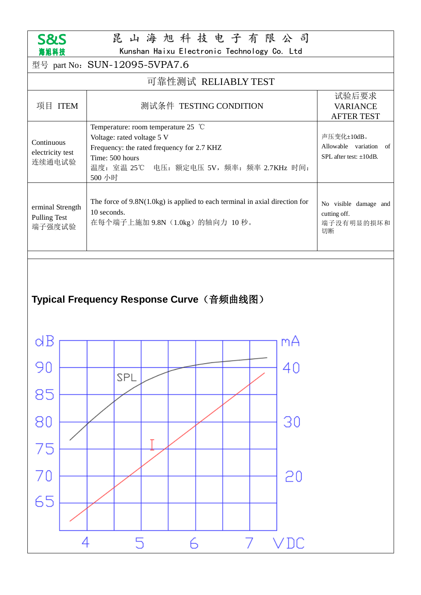

# 昆 山 海 旭 科 技 电 子 有 限 公 司

Kunshan Haixu Electronic Technology Co. Ltd

| 型号 part No: SUN-12095-5VPA7.6                       |                                                                                                                                                                                                        |                                                                   |  |
|-----------------------------------------------------|--------------------------------------------------------------------------------------------------------------------------------------------------------------------------------------------------------|-------------------------------------------------------------------|--|
| 可靠性测试 RELIABLY TEST                                 |                                                                                                                                                                                                        |                                                                   |  |
| 项目 ITEM                                             | 测试条件 TESTING CONDITION                                                                                                                                                                                 | 试验后要求<br><b>VARIANCE</b><br><b>AFTER TEST</b>                     |  |
| Continuous<br>electricity test<br>连续通电试验            | Temperature: room temperature 25 $^{\circ}$ C<br>Voltage: rated voltage 5 V<br>Frequency: the rated frequency for 2.7 KHZ<br>Time: 500 hours<br>温度: 室温 25℃<br>电压: 额定电压 5V, 频率: 频率 2.7KHz 时间:<br>500 小时 | 声压变化±10dB。<br>Allowable variation<br>of<br>SPL after test: ±10dB. |  |
| erminal Strength<br><b>Pulling Test</b><br>端子强度试验   | The force of $9.8N(1.0kg)$ is applied to each terminal in axial direction for<br>10 seconds.<br>在每个端子上施加 9.8N (1.0kg) 的轴向力 10秒。                                                                        | No visible damage and<br>cutting off.<br>端子没有明显的损坏和<br>切断         |  |
| Typical Frequency Response Curve(音频曲线图)<br>dΒ<br>mА |                                                                                                                                                                                                        |                                                                   |  |
|                                                     | SPL                                                                                                                                                                                                    |                                                                   |  |